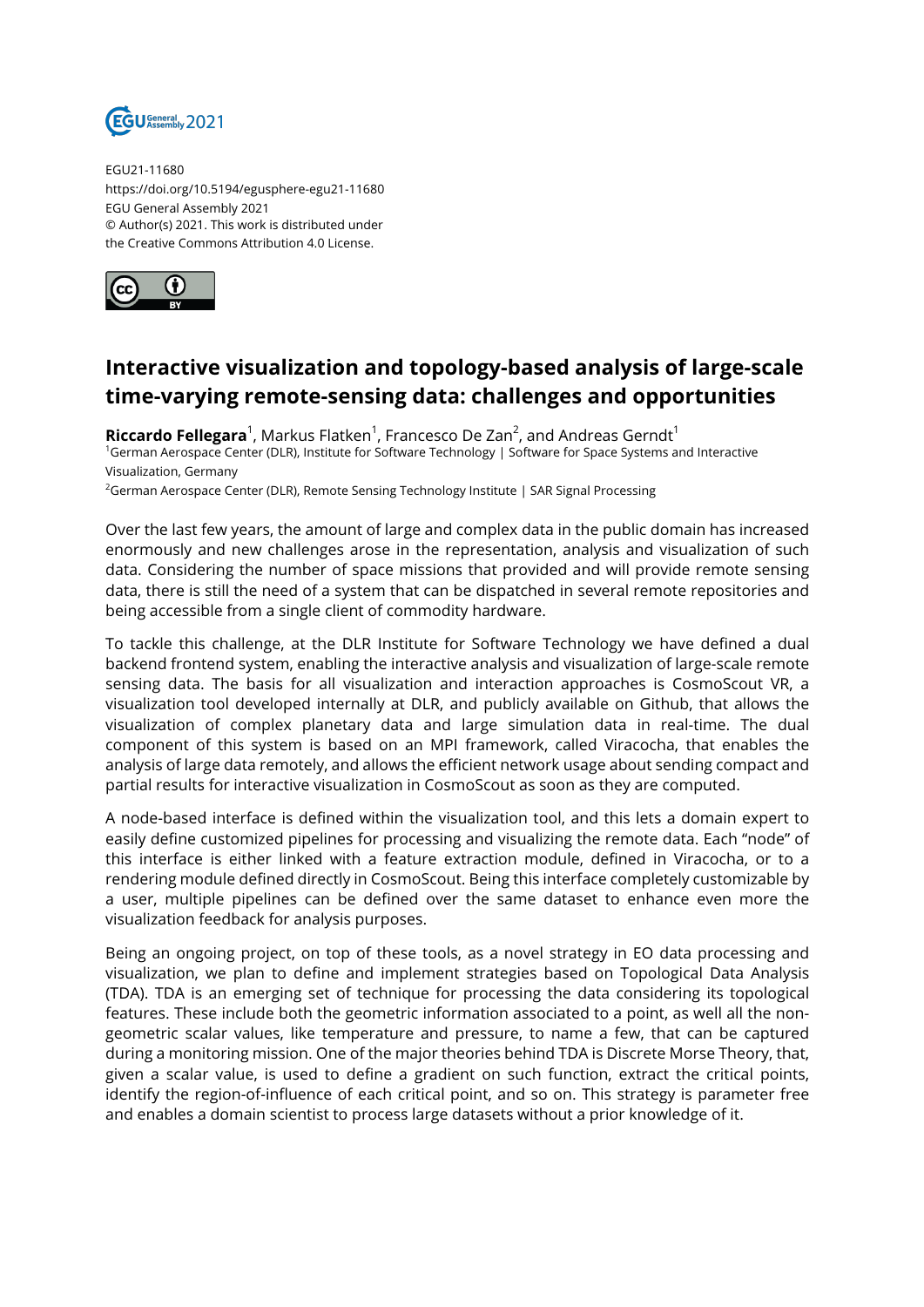

EGU21-11680 https://doi.org/10.5194/egusphere-egu21-11680 EGU General Assembly 2021 © Author(s) 2021. This work is distributed under the Creative Commons Attribution 4.0 License.



## **Interactive visualization and topology-based analysis of large-scale time-varying remote-sensing data: challenges and opportunities**

**Riccardo Fellegara**<sup>1</sup>, Markus Flatken<sup>1</sup>, Francesco De Zan<sup>2</sup>, and Andreas Gerndt<sup>1</sup> <sup>1</sup>German Aerospace Center (DLR), Institute for Software Technology | Software for Space Systems and Interactive Visualization, Germany

<sup>2</sup>German Aerospace Center (DLR), Remote Sensing Technology Institute | SAR Signal Processing

Over the last few years, the amount of large and complex data in the public domain has increased enormously and new challenges arose in the representation, analysis and visualization of such data. Considering the number of space missions that provided and will provide remote sensing data, there is still the need of a system that can be dispatched in several remote repositories and being accessible from a single client of commodity hardware.

To tackle this challenge, at the DLR Institute for Software Technology we have defined a dual backend frontend system, enabling the interactive analysis and visualization of large-scale remote sensing data. The basis for all visualization and interaction approaches is CosmoScout VR, a visualization tool developed internally at DLR, and publicly available on Github, that allows the visualization of complex planetary data and large simulation data in real-time. The dual component of this system is based on an MPI framework, called Viracocha, that enables the analysis of large data remotely, and allows the efficient network usage about sending compact and partial results for interactive visualization in CosmoScout as soon as they are computed.

A node-based interface is defined within the visualization tool, and this lets a domain expert to easily define customized pipelines for processing and visualizing the remote data. Each "node" of this interface is either linked with a feature extraction module, defined in Viracocha, or to a rendering module defined directly in CosmoScout. Being this interface completely customizable by a user, multiple pipelines can be defined over the same dataset to enhance even more the visualization feedback for analysis purposes.

Being an ongoing project, on top of these tools, as a novel strategy in EO data processing and visualization, we plan to define and implement strategies based on Topological Data Analysis (TDA). TDA is an emerging set of technique for processing the data considering its topological features. These include both the geometric information associated to a point, as well all the nongeometric scalar values, like temperature and pressure, to name a few, that can be captured during a monitoring mission. One of the major theories behind TDA is Discrete Morse Theory, that, given a scalar value, is used to define a gradient on such function, extract the critical points, identify the region-of-influence of each critical point, and so on. This strategy is parameter free and enables a domain scientist to process large datasets without a prior knowledge of it.